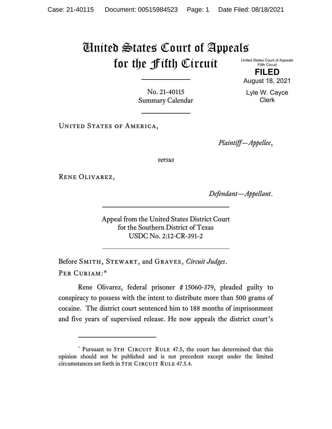## United States Court of Appeals for the Fifth Circuit United States Court of Appeals

Fifth Circuit **FILED**

Clerk

August 18, 2021 Lyle W. Cayce

No. 21-40115 Summary Calendar

UNITED STATES OF AMERICA,

*Plaintiff—Appellee*,

*versus*

Rene Olivarez,

*Defendant—Appellant*.

Appeal from the United States District Court for the Southern District of Texas USDC No. 2:12-CR-391-2

Before Smith, Stewart, and Graves, *Circuit Judges*. Per Curiam:[\\*](#page-0-0)

Rene Olivarez, federal prisoner # 15060-379, pleaded guilty to conspiracy to possess with the intent to distribute more than 500 grams of cocaine. The district court sentenced him to 188 months of imprisonment and five years of supervised release. He now appeals the district court's

<span id="page-0-0"></span><sup>\*</sup> Pursuant to 5TH CIRCUIT RULE 47.5, the court has determined that this opinion should not be published and is not precedent except under the limited circumstances set forth in 5TH CIRCUIT RULE 47.5.4.